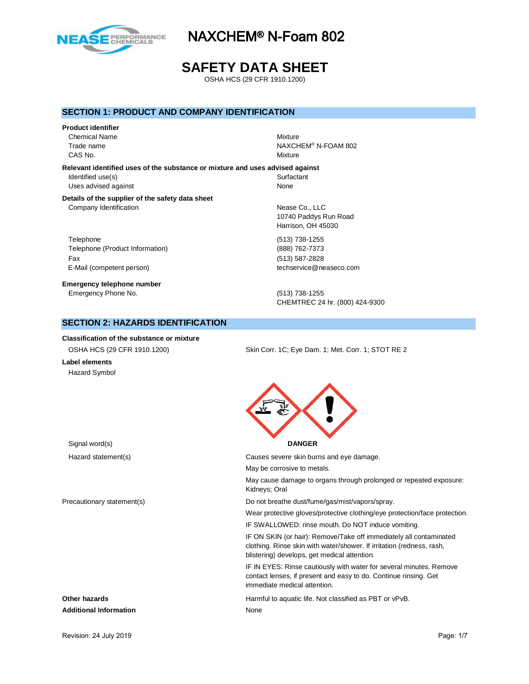

# **SAFETY DATA SHEET**

OSHA HCS (29 CFR 1910.1200)

### **SECTION 1: PRODUCT AND COMPANY IDENTIFICATION**

**Product identifier**

Chemical Name Mixture CAS No. Notice that the contract of the contract of the contract of the contract of the contract of the contract of the contract of the contract of the contract of the contract of the contract of the contract of the contra

Trade name NAXCHEM<sup>®</sup> N-FOAM 802

**Relevant identified uses of the substance or mixture and uses advised against** Identified use(s) Surfactant Uses advised against None

#### **Details of the supplier of the safety data sheet** Company Identification **Nease Co.**, LLC

Telephone (513) 738-1255 Telephone (Product Information) (888) 762-7373 Fax (513) 587-2828 E-Mail (competent person) the competent of the competent person) techservice@neaseco.com

**Emergency telephone number** Emergency Phone No. (513) 738-1255

10740 Paddys Run Road Harrison, OH 45030

CHEMTREC 24 hr. (800) 424-9300

## **SECTION 2: HAZARDS IDENTIFICATION**

**Classification of the substance or mixture**

**Label elements** Hazard Symbol

OSHA HCS (29 CFR 1910.1200) Skin Corr. 1C; Eye Dam. 1; Met. Corr. 1; STOT RE 2



# Hazard statement(s) Causes severe skin burns and eye damage. May be corrosive to metals. May cause damage to organs through prolonged or repeated exposure: Kidneys; Oral Precautionary statement(s) example and the Do not breathe dust/fume/gas/mist/vapors/spray. Wear protective gloves/protective clothing/eye protection/face protection. IF SWALLOWED: rinse mouth. Do NOT induce vomiting. IF ON SKIN (or hair): Remove/Take off immediately all contaminated clothing. Rinse skin with water/shower. If irritation (redness, rash, blistering) develops, get medical attention. IF IN EYES: Rinse cautiously with water for several minutes. Remove contact lenses, if present and easy to do. Continue rinsing. Get immediate medical attention. **Other hazards Calcular Contracts Harmful to aquatic life. Not classified as PBT or vPvB. Additional Information** None

Revision: 24 July 2019 **Page: 1/7** Page: 1/7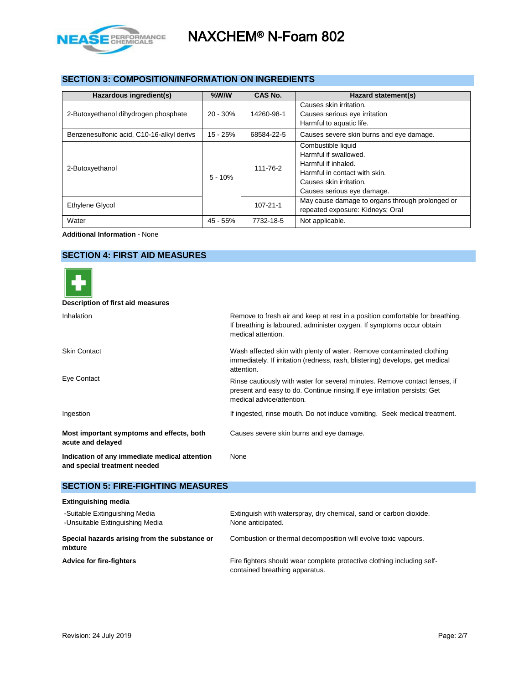

# **SECTION 3: COMPOSITION/INFORMATION ON INGREDIENTS**

| Hazardous ingredient(s)                   | $%$ W/W    | CAS No.        | Hazard statement(s)                                                                                                                                          |
|-------------------------------------------|------------|----------------|--------------------------------------------------------------------------------------------------------------------------------------------------------------|
| 2-Butoxyethanol dihydrogen phosphate      | $20 - 30%$ | 14260-98-1     | Causes skin irritation.<br>Causes serious eye irritation<br>Harmful to aquatic life.                                                                         |
| Benzenesulfonic acid, C10-16-alkyl derivs | $15 - 25%$ | 68584-22-5     | Causes severe skin burns and eye damage.                                                                                                                     |
| 2-Butoxyethanol                           | $5 - 10%$  | 111-76-2       | Combustible liquid<br>Harmful if swallowed.<br>Harmful if inhaled.<br>Harmful in contact with skin.<br>Causes skin irritation.<br>Causes serious eye damage. |
| <b>Ethylene Glycol</b>                    |            | $107 - 21 - 1$ | May cause damage to organs through prolonged or<br>repeated exposure: Kidneys: Oral                                                                          |
| Water                                     | $45 - 55%$ | 7732-18-5      | Not applicable.                                                                                                                                              |

**Additional Information -** None

# **SECTION 4: FIRST AID MEASURES**



#### **Description of first aid measures**

| Inhalation                                                                    | Remove to fresh air and keep at rest in a position comfortable for breathing.<br>If breathing is laboured, administer oxygen. If symptoms occur obtain<br>medical attention.        |
|-------------------------------------------------------------------------------|-------------------------------------------------------------------------------------------------------------------------------------------------------------------------------------|
| <b>Skin Contact</b>                                                           | Wash affected skin with plenty of water. Remove contaminated clothing<br>immediately. If irritation (redness, rash, blistering) develops, get medical<br>attention.                 |
| Eye Contact                                                                   | Rinse cautiously with water for several minutes. Remove contact lenses, if<br>present and easy to do. Continue rinsing If eye irritation persists: Get<br>medical advice/attention. |
| Ingestion                                                                     | If ingested, rinse mouth. Do not induce vomiting. Seek medical treatment.                                                                                                           |
| Most important symptoms and effects, both<br>acute and delayed                | Causes severe skin burns and eye damage.                                                                                                                                            |
| Indication of any immediate medical attention<br>and special treatment needed | None                                                                                                                                                                                |

### **SECTION 5: FIRE-FIGHTING MEASURES**

| <b>Extinguishing media</b>                                       |                                                                                                          |
|------------------------------------------------------------------|----------------------------------------------------------------------------------------------------------|
| -Suitable Extinguishing Media<br>-Unsuitable Extinguishing Media | Extinguish with waterspray, dry chemical, sand or carbon dioxide.<br>None anticipated.                   |
| Special hazards arising from the substance or<br>mixture         | Combustion or thermal decomposition will evolve toxic vapours.                                           |
| <b>Advice for fire-fighters</b>                                  | Fire fighters should wear complete protective clothing including self-<br>contained breathing apparatus. |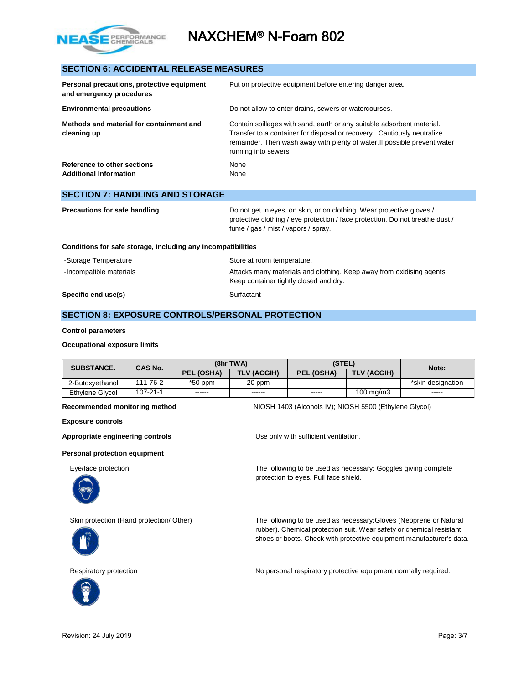

## **SECTION 6: ACCIDENTAL RELEASE MEASURES**

| Personal precautions, protective equipment<br>and emergency procedures | Put on protective equipment before entering danger area.                                                                                                                                                                                               |  |  |  |
|------------------------------------------------------------------------|--------------------------------------------------------------------------------------------------------------------------------------------------------------------------------------------------------------------------------------------------------|--|--|--|
| <b>Environmental precautions</b>                                       | Do not allow to enter drains, sewers or watercourses.                                                                                                                                                                                                  |  |  |  |
| Methods and material for containment and<br>cleaning up                | Contain spillages with sand, earth or any suitable adsorbent material.<br>Transfer to a container for disposal or recovery. Cautiously neutralize<br>remainder. Then wash away with plenty of water. If possible prevent water<br>running into sewers. |  |  |  |
| Reference to other sections<br><b>Additional Information</b>           | None<br>None                                                                                                                                                                                                                                           |  |  |  |
| <b>SECTION 7: HANDLING AND STORAGE</b>                                 |                                                                                                                                                                                                                                                        |  |  |  |

| Precautions for safe handling | Do not get in eyes, on skin, or on clothing. Wear protective gloves /         |
|-------------------------------|-------------------------------------------------------------------------------|
|                               | protective clothing / eye protection / face protection. Do not breathe dust / |
|                               | fume / gas / mist / vapors / spray.                                           |
|                               |                                                                               |

### **Conditions for safe storage, including any incompatibilities**

| -Storage Temperature    | Store at room temperature.                                                                                      |
|-------------------------|-----------------------------------------------------------------------------------------------------------------|
| -Incompatible materials | Attacks many materials and clothing. Keep away from oxidising agents.<br>Keep container tightly closed and dry. |
| Specific end use(s)     | Surfactant                                                                                                      |

# **SECTION 8: EXPOSURE CONTROLS/PERSONAL PROTECTION**

#### **Control parameters**

### **Occupational exposure limits**

| <b>SUBSTANCE.</b> | <b>CAS No.</b> | (8hr TWA)  |                    | (STEL)        |                      | Note:             |
|-------------------|----------------|------------|--------------------|---------------|----------------------|-------------------|
|                   |                | PEL (OSHA) | <b>TLV (ACGIH)</b> | PEL (OSHA)    | <b>TLV (ACGIH)</b>   |                   |
| 2-Butoxvethanol   | 111-76-2       | $*50$ ppm  | 20 ppm             | $\frac{1}{2}$ | -----                | *skin designation |
| Ethylene Glycol   | 107-21-1       | ------     | ------             | $- - - - -$   | $100 \text{ ma/m}$ 3 | $- - - - -$       |

**Exposure controls**

#### **Personal protection equipment**







**Recommended monitoring method** NIOSH 1403 (Alcohols IV); NIOSH 5500 (Ethylene Glycol)

Appropriate engineering controls **Appropriate engineering controls Exercise 2016** Use only with sufficient ventilation.

Eye/face protection The following to be used as necessary: Goggles giving complete protection to eyes. Full face shield.

Skin protection (Hand protection/ Other) The following to be used as necessary:Gloves (Neoprene or Natural rubber). Chemical protection suit. Wear safety or chemical resistant shoes or boots. Check with protective equipment manufacturer's data.

Respiratory protection **No personal respiratory protective equipment normally required.**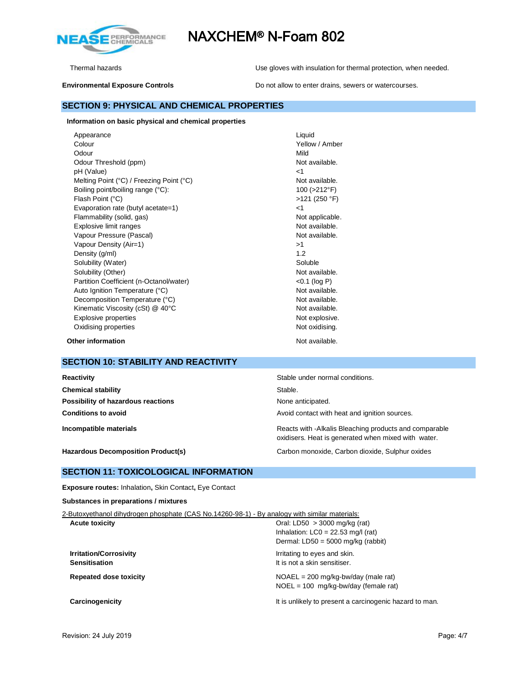

Thermal hazards Use gloves with insulation for thermal protection, when needed.

**Environmental Exposure Controls** Do not allow to enter drains, sewers or watercourses.

# **Information on basic physical and chemical properties**

**SECTION 9: PHYSICAL AND CHEMICAL PROPERTIES**

**Other information** Not available.

# **SECTION 10: STABILITY AND REACTIVITY**

| Reactivity                                | Stable under normal conditions.                                                                               |
|-------------------------------------------|---------------------------------------------------------------------------------------------------------------|
| <b>Chemical stability</b>                 | Stable.                                                                                                       |
| Possibility of hazardous reactions        | None anticipated.                                                                                             |
| <b>Conditions to avoid</b>                | Avoid contact with heat and ignition sources.                                                                 |
| Incompatible materials                    | Reacts with -Alkalis Bleaching products and comparable<br>oxidisers. Heat is generated when mixed with water. |
| <b>Hazardous Decomposition Product(s)</b> | Carbon monoxide, Carbon dioxide, Sulphur oxides                                                               |

### **SECTION 11: TOXICOLOGICAL INFORMATION**

**Exposure routes:** Inhalation**,** Skin Contact**,** Eye Contact

#### **Substances in preparations / mixtures**

| 2-Butoxyethanol dihydrogen phosphate (CAS No.14260-98-1) - By analogy with similar materials: |
|-----------------------------------------------------------------------------------------------|
| Oral: LD50 $>$ 3000 mg/kg (rat)                                                               |
| Inhalation: $LC0 = 22.53$ mg/l (rat)                                                          |
| Dermal: $LD50 = 5000$ mg/kg (rabbit)                                                          |
| Irritating to eyes and skin.                                                                  |
| It is not a skin sensitiser.                                                                  |
| $NOAEL = 200$ mg/kg-bw/day (male rat)                                                         |
| $NOEL = 100$ mg/kg-bw/day (female rat)                                                        |
| It is unlikely to present a carcinogenic hazard to man.                                       |
|                                                                                               |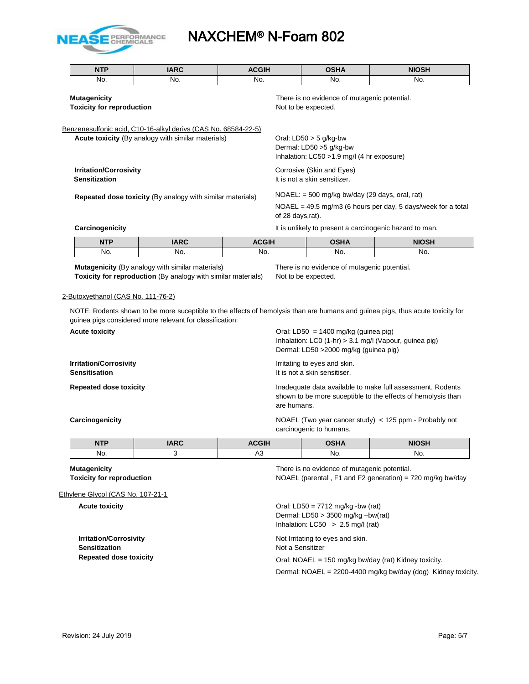

 $\blacksquare$ 

# NAXCHEM® N-Foam 802

|                                                                                                                            | <b>NTP</b>                                              | <b>IARC</b>                                                                                                                 | <b>ACGIH</b> |                                                                                                                                         | <b>OSHA</b>                                                                                          | <b>NIOSH</b>                                            |  |  |
|----------------------------------------------------------------------------------------------------------------------------|---------------------------------------------------------|-----------------------------------------------------------------------------------------------------------------------------|--------------|-----------------------------------------------------------------------------------------------------------------------------------------|------------------------------------------------------------------------------------------------------|---------------------------------------------------------|--|--|
|                                                                                                                            | No.                                                     | No.                                                                                                                         | No.          |                                                                                                                                         | No.                                                                                                  | No.                                                     |  |  |
|                                                                                                                            | <b>Mutagenicity</b><br><b>Toxicity for reproduction</b> |                                                                                                                             |              |                                                                                                                                         | There is no evidence of mutagenic potential.<br>Not to be expected.                                  |                                                         |  |  |
|                                                                                                                            |                                                         | Benzenesulfonic acid, C10-16-alkyl derivs (CAS No. 68584-22-5)<br><b>Acute toxicity</b> (By analogy with similar materials) |              |                                                                                                                                         | Oral: $LD50 > 5$ g/kg-bw<br>Dermal: LD50 >5 g/kg-bw<br>Inhalation: $LC50 > 1.9$ mg/l (4 hr exposure) |                                                         |  |  |
| <b>Irritation/Corrosivity</b><br><b>Sensitization</b><br><b>Repeated dose toxicity (By analogy with similar materials)</b> |                                                         |                                                                                                                             |              |                                                                                                                                         | Corrosive (Skin and Eyes)<br>It is not a skin sensitizer.                                            |                                                         |  |  |
|                                                                                                                            |                                                         |                                                                                                                             |              | $NOAEL: = 500$ mg/kg bw/day (29 days, oral, rat)<br>$NOAEL = 49.5$ mg/m3 (6 hours per day, 5 days/week for a total<br>of 28 days, rat). |                                                                                                      |                                                         |  |  |
|                                                                                                                            | Carcinogenicity                                         |                                                                                                                             |              |                                                                                                                                         |                                                                                                      | It is unlikely to present a carcinogenic hazard to man. |  |  |
|                                                                                                                            | $\overline{\phantom{a}}$                                | $\sim$ $\sim$ $\sim$                                                                                                        |              |                                                                                                                                         | $- - - - -$                                                                                          |                                                         |  |  |

| <b>NTP</b> | <b>IARC</b> | <b>ACGIH</b> | <b>OSHA</b> | <b>NIOSH</b> |
|------------|-------------|--------------|-------------|--------------|
| No.        | No.         | No.          | No.         | No.          |

**Mutagenicity** (By analogy with similar materials) There is no evidence of mutagenic potential. **Toxicity for reproduction** (By analogy with similar materials) Not to be expected.

#### 2-Butoxyethanol (CAS No. 111-76-2)

NOTE: Rodents shown to be more suceptible to the effects of hemolysis than are humans and guinea pigs, thus acute toxicity for guinea pigs considered more relevant for classification:

**Acute toxicity Acute is a set of the set of the CISC** or Acute of the Oral: LD50 = 1400 mg/kg (guinea pig) Inhalation: LC0 (1-hr) > 3.1 mg/l (Vapour, guinea pig) Dermal: LD50 >2000 mg/kg (guinea pig) **Irritation/Corrosivity Irritation/Corrosivity I**rritating to eyes and skin. **Sensitisation It is not a skin sensitiser. Repeated dose toxicity Inadequate data available to make full assessment. Rodents** shown to be more suceptible to the effects of hemolysis than are humans.

**Carcinogenicity** NOAEL (Two year cancer study) < 125 ppm - Probably not carcinogenic to humans.

| <b>NTP</b> | <b>IARC</b> | <b>ACGIH</b> | <b>OSHA</b> | <b>NIOSH</b> |
|------------|-------------|--------------|-------------|--------------|
| No.        |             | nυ           | No.         | No.          |

Ethylene Glycol (CAS No. 107-21-1

**Mutagenicity** There is no evidence of mutagenic potential. **Toxicity for reproduction NOAEL** (parental , F1 and F2 generation) = 720 mg/kg bw/day

**Acute toxicity COLOGY CONSUMER ACUTE 100 Oral: LD50** = 7712 mg/kg -bw (rat) Dermal: LD50 > 3500 mg/kg –bw(rat) Inhalation:  $LC50 > 2.5$  mg/l (rat)

**Irritation/Corrosivity Irritation/Corrosivity Not Irritation is a set of the Secure 2012** Not Irritating to eyes and skin. **Sensitization** Not a Sensitizer

**Repeated dose toxicity Repeated dose toxicity Cral: NOAEL = 150 mg/kg bw/day (rat) Kidney toxicity.** 

Dermal: NOAEL = 2200-4400 mg/kg bw/day (dog) Kidney toxicity.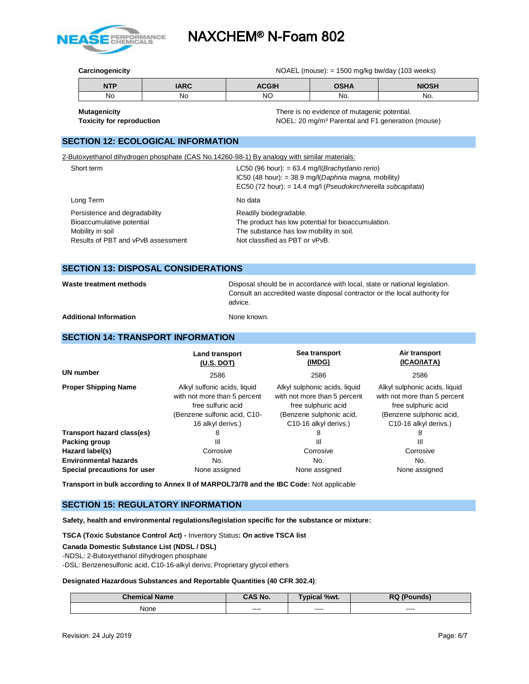

**Carcinogenicity** NOAEL (mouse): = 1500 mg/kg bw/day (103 weeks)

| <b>NTP</b> | IADC | <b>CGIH</b> | <b>00118</b> | <b>NIOSH</b> |
|------------|------|-------------|--------------|--------------|
| No         | NC.  | NC          | No.          | No.          |

**Mutagenicity There is no evidence of mutagenic potential.** There is no evidence of mutagenic potential. **Toxicity for reproduction NOEL:** 20 mg/m<sup>3</sup> Parental and F1 generation (mouse)

## **SECTION 12: ECOLOGICAL INFORMATION**

2-Butoxyethanol dihydrogen phosphate (CAS No.14260-98-1) By analogy with similar materials:

| Short term                                                                                                           | LC50 (96 hour): = 63.4 mg/l( <i>Brachydanio rerio</i> )<br>IC50 (48 hour): = 38.9 mg/l(Daphnia magna, mobility)<br>EC50 (72 hour): = 14.4 mg/l (Pseudokirchnerella subcapitata) |
|----------------------------------------------------------------------------------------------------------------------|---------------------------------------------------------------------------------------------------------------------------------------------------------------------------------|
| Long Term                                                                                                            | No data                                                                                                                                                                         |
| Persistence and degradability<br>Bioaccumulative potential<br>Mobility in soil<br>Results of PBT and vPvB assessment | Readily biodegradable.<br>The product has low potential for bioaccumulation.<br>The substance has low mobility in soil.<br>Not classified as PBT or vPvB.                       |

## **SECTION 13: DISPOSAL CONSIDERATIONS**

Waste treatment methods **Disposal should be in accordance with local**, state or national legislation. Consult an accredited waste disposal contractor or the local authority for advice.

Additional Information **None known.** None known.

### **SECTION 14: TRANSPORT INFORMATION**

|                              | <b>Land transport</b><br>(U.S. DOT)                                                                                                     | Sea transport<br>(IMDG)                                                                                                                                | Air transport<br>(ICAO/IATA)                                                                                                                           |
|------------------------------|-----------------------------------------------------------------------------------------------------------------------------------------|--------------------------------------------------------------------------------------------------------------------------------------------------------|--------------------------------------------------------------------------------------------------------------------------------------------------------|
| UN number                    | 2586                                                                                                                                    | 2586                                                                                                                                                   | 2586                                                                                                                                                   |
| <b>Proper Shipping Name</b>  | Alkyl sulfonic acids, liquid<br>with not more than 5 percent<br>free sulfuric acid<br>(Benzene sulfonic acid, C10-<br>16 alkyl derivs.) | Alkyl sulphonic acids, liquid<br>with not more than 5 percent<br>free sulphuric acid<br>(Benzene sulphonic acid,<br>C <sub>10</sub> -16 alkyl derivs.) | Alkyl sulphonic acids, liquid<br>with not more than 5 percent<br>free sulphuric acid<br>(Benzene sulphonic acid,<br>C <sub>10</sub> -16 alkyl derivs.) |
| Transport hazard class(es)   | 8                                                                                                                                       | 8                                                                                                                                                      | 8                                                                                                                                                      |
| Packing group                | Ш                                                                                                                                       | Ш                                                                                                                                                      | Ш                                                                                                                                                      |
| Hazard label(s)              | Corrosive                                                                                                                               | Corrosive                                                                                                                                              | Corrosive                                                                                                                                              |
| <b>Environmental hazards</b> | No.                                                                                                                                     | No.                                                                                                                                                    | No.                                                                                                                                                    |
| Special precautions for user | None assigned                                                                                                                           | None assigned                                                                                                                                          | None assigned                                                                                                                                          |

**Transport in bulk according to Annex II of MARPOL73/78 and the IBC Code:** Not applicable

### **SECTION 15: REGULATORY INFORMATION**

**Safety, health and environmental regulations/legislation specific for the substance or mixture:**

**TSCA (Toxic Substance Control Act) -** Inventory Status**: On active TSCA list**

**Canada Domestic Substance List (NDSL / DSL)**

-NDSL: 2-Butoxyethanol dihydrogen phosphate -DSL: Benzenesulfonic acid, C10-16-alkyl derivs; Proprietary glycol ethers

**Designated Hazardous Substances and Reportable Quantities (40 CFR 302.4)**:

| <b>Chemical Name</b> | <b>CAS No.</b> | Typical %wt. | <b>RQ (Pounds)</b> |
|----------------------|----------------|--------------|--------------------|
| None                 | ----           | ----         | ----               |